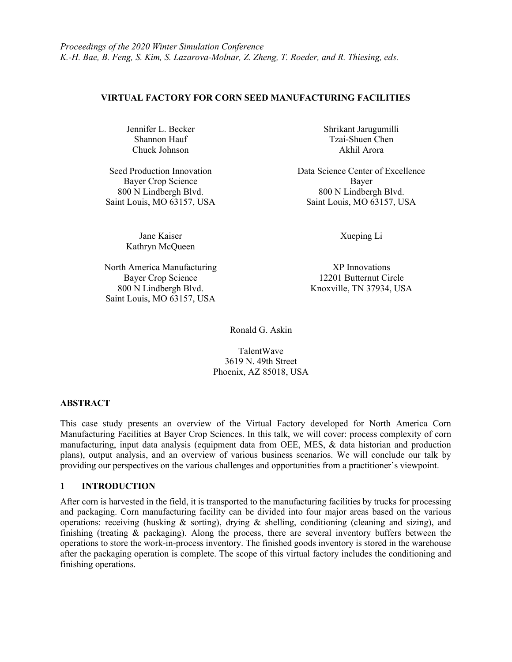### VIRTUAL FACTORY FOR CORN SEED MANUFACTURING FACILITIES

Jennifer L. Becker Shannon Hauf Chuck Johnson

Bayer Crop Science Bayer

Jane Kaiser Kathryn McQueen

North America Manufacturing XP Innovations<br>Bayer Crop Science 12201 Butternut Cir Saint Louis, MO 63157, USA

Shrikant Jarugumilli Tzai-Shuen Chen Akhil Arora

Seed Production Innovation **Data Science Center of Excellence** 800 N Lindbergh Blvd. 800 N Lindbergh Blvd. Saint Louis, MO 63157, USA Saint Louis, MO 63157, USA

Xueping Li

12201 Butternut Circle 800 N Lindbergh Blvd. Knoxville, TN 37934, USA

Ronald G. Askin

TalentWave 3619 N. 49th Street Phoenix, AZ 85018, USA

### ABSTRACT

This case study presents an overview of the Virtual Factory developed for North America Corn Manufacturing Facilities at Bayer Crop Sciences. In this talk, we will cover: process complexity of corn manufacturing, input data analysis (equipment data from OEE, MES, & data historian and production plans), output analysis, and an overview of various business scenarios. We will conclude our talk by providing our perspectives on the various challenges and opportunities from a practitioner's viewpoint.

### 1 INTRODUCTION

After corn is harvested in the field, it is transported to the manufacturing facilities by trucks for processing and packaging. Corn manufacturing facility can be divided into four major areas based on the various operations: receiving (husking & sorting), drying & shelling, conditioning (cleaning and sizing), and finishing (treating & packaging). Along the process, there are several inventory buffers between the operations to store the work-in-process inventory. The finished goods inventory is stored in the warehouse after the packaging operation is complete. The scope of this virtual factory includes the conditioning and finishing operations.